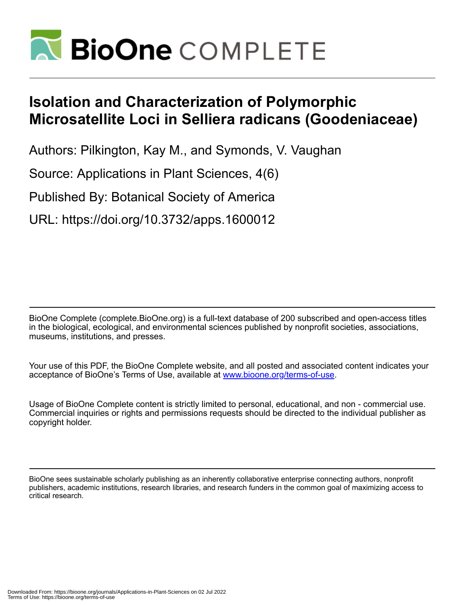

# **Isolation and Characterization of Polymorphic Microsatellite Loci in Selliera radicans (Goodeniaceae)**

Authors: Pilkington, Kay M., and Symonds, V. Vaughan

Source: Applications in Plant Sciences, 4(6)

Published By: Botanical Society of America

URL: https://doi.org/10.3732/apps.1600012

BioOne Complete (complete.BioOne.org) is a full-text database of 200 subscribed and open-access titles in the biological, ecological, and environmental sciences published by nonprofit societies, associations, museums, institutions, and presses.

Your use of this PDF, the BioOne Complete website, and all posted and associated content indicates your acceptance of BioOne's Terms of Use, available at www.bioone.org/terms-of-use.

Usage of BioOne Complete content is strictly limited to personal, educational, and non - commercial use. Commercial inquiries or rights and permissions requests should be directed to the individual publisher as copyright holder.

BioOne sees sustainable scholarly publishing as an inherently collaborative enterprise connecting authors, nonprofit publishers, academic institutions, research libraries, and research funders in the common goal of maximizing access to critical research.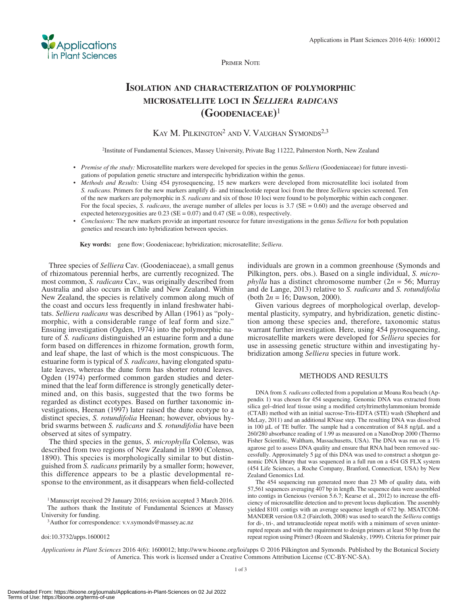

PRIMER NOTE

## **ISOLATION AND CHARACTERIZATION OF POLYMORPHIC MICROSATELLITE LOCI IN** *SELLIERA RADICANS*  **(GOODENIACEAE)** <sup>1</sup>

### KAY M. PILKINGTON<sup>2</sup> AND V. VAUGHAN SYMONDS<sup>2,3</sup>

2 Institute of Fundamental Sciences, Massey University, Private Bag 11222, Palmerston North, New Zealand

- *Premise of the study:* Microsatellite markers were developed for species in the genus *Selliera* (Goodeniaceae) for future investigations of population genetic structure and interspecific hybridization within the genus.
- *Methods and Results:* Using 454 pyrosequencing, 15 new markers were developed from microsatellite loci isolated from *S. radicans.* Primers for the new markers amplify di- and trinucleotide repeat loci from the three *Selliera* species screened. Ten of the new markers are polymorphic in *S. radicans* and six of those 10 loci were found to be polymorphic within each congener. For the focal species, *S. radicans*, the average number of alleles per locus is 3.7 (SE = 0.60) and the average observed and expected heterozygosities are  $0.23$  (SE = 0.07) and 0.47 (SE = 0.08), respectively.
- *Conclusions:* The new markers provide an important resource for future investigations in the genus *Selliera* for both population genetics and research into hybridization between species.

**Key words:** gene flow; Goodeniaceae; hybridization; microsatellite; *Selliera*.

 Three species of *Selliera* Cav. (Goodeniaceae), a small genus of rhizomatous perennial herbs, are currently recognized. The most common, *S. radicans* Cav., was originally described from Australia and also occurs in Chile and New Zealand. Within New Zealand, the species is relatively common along much of the coast and occurs less frequently in inland freshwater habitats. *Selliera radicans* was described by Allan (1961) as "polymorphic, with a considerable range of leaf form and size." Ensuing investigation (Ogden, 1974) into the polymorphic nature of *S. radicans* distinguished an estuarine form and a dune form based on differences in rhizome formation, growth form, and leaf shape, the last of which is the most conspicuous. The estuarine form is typical of *S. radicans* , having elongated spatulate leaves, whereas the dune form has shorter rotund leaves. Ogden (1974) performed common garden studies and determined that the leaf form difference is strongly genetically determined and, on this basis, suggested that the two forms be regarded as distinct ecotypes. Based on further taxonomic investigations, Heenan (1997) later raised the dune ecotype to a distinct species, *S. rotundifolia* Heenan; however, obvious hybrid swarms between *S. radicans* and *S. rotundifolia* have been observed at sites of sympatry.

 The third species in the genus, *S. microphylla* Colenso, was described from two regions of New Zealand in 1890 (Colenso, 1890). This species is morphologically similar to but distinguished from *S. radicans* primarily by a smaller form; however, this difference appears to be a plastic developmental response to the environment, as it disappears when field-collected

University for funding.<br><sup>3</sup> Author for correspondence: v.v.symonds@massey.ac.nz

doi:10.3732/apps.1600012

individuals are grown in a common greenhouse (Symonds and Pilkington, pers. obs.). Based on a single individual, *S. microphylla* has a distinct chromosome number ( $2n = 56$ ; Murray and de Lange, 2013 ) relative to *S. radicans* and *S. rotundifolia* (both  $2n = 16$ ; Dawson, 2000).

 Given various degrees of morphological overlap, developmental plasticity, sympatry, and hybridization, genetic distinction among these species and, therefore, taxonomic status warrant further investigation. Here, using 454 pyrosequencing, microsatellite markers were developed for *Selliera* species for use in assessing genetic structure within and investigating hybridization among *Selliera* species in future work.

#### METHODS AND RESULTS

 DNA from *S. radicans* collected from a population at Moana Roa beach (Appendix 1) was chosen for 454 sequencing. Genomic DNA was extracted from silica gel-dried leaf tissue using a modified cetyltrimethylammonium bromide (CTAB) method with an initial sucrose-Tris-EDTA (STE) wash ( Shepherd and McLay, 2011) and an additional RNase step. The resulting DNA was dissolved in 100 μL of TE buffer. The sample had a concentration of 84.8 ng/ $\mu$ L and a 260/280 absorbance reading of 1.99 as measured on a NanoDrop 2000 (Thermo Fisher Scientific, Waltham, Massachusetts, USA). The DNA was run on a 1% agarose gel to assess DNA quality and ensure that RNA had been removed successfully. Approximately 5 μg of this DNA was used to construct a shotgun genomic DNA library that was sequenced in a full run on a 454 GS FLX system (454 Life Sciences, a Roche Company, Branford, Connecticut, USA) by New Zealand Genomics Ltd.

 The 454 sequencing run generated more than 23 Mb of quality data, with 57,561 sequences averaging 407 bp in length. The sequence data were assembled into contigs in Geneious (version 5.6.7; Kearse et al., 2012) to increase the efficiency of microsatellite detection and to prevent locus duplication. The assembly yielded 8101 contigs with an average sequence length of 672 bp. MSATCOM-MANDER version 0.8.2 (Faircloth, 2008) was used to search the *Selliera* contigs for di-, tri-, and tetranucleotide repeat motifs with a minimum of seven uninterrupted repeats and with the requirement to design primers at least 50 bp from the repeat region using Primer3 ( Rozen and Skaletsky, 1999 ). Criteria for primer pair

Applications in Plant Sciences 2016 4(6): 1600012; http://www.bioone.org/loi/apps © 2016 Pilkington and Symonds. Published by the Botanical Society of America. This work is licensed under a Creative Commons Attribution License (CC-BY-NC-SA).

<sup>1</sup> Manuscript received 29 January 2016; revision accepted 3 March 2016. The authors thank the Institute of Fundamental Sciences at Massey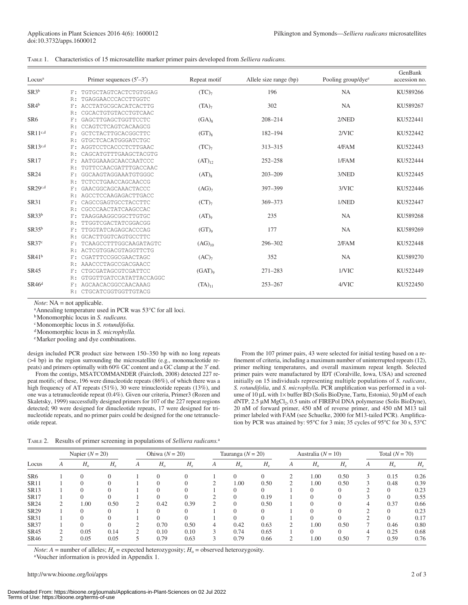| TABLE 1. Characteristics of 15 microsatellite marker primer pairs developed from <i>Selliera radicans</i> . |  |  |  |  |  |
|-------------------------------------------------------------------------------------------------------------|--|--|--|--|--|
|-------------------------------------------------------------------------------------------------------------|--|--|--|--|--|

| Locus <sup>a</sup> |       | Primer sequences $(5'–3')$ | Repeat motif        | Allele size range (bp) | Pooling group/dye <sup>e</sup> | GenBank<br>accession no. |
|--------------------|-------|----------------------------|---------------------|------------------------|--------------------------------|--------------------------|
| SR3b               | F:    | TGTGCTAGTCACTCTGTGGAG      | $(TC)$ <sub>7</sub> | 196                    | <b>NA</b>                      | KU589266                 |
|                    | R:    | TGAGGAACCCACCTTGGTC        |                     |                        |                                |                          |
| $SR4^b$            | F:    | ACCTATGCGCACATCACTTG       | $(TA)_{7}$          | 302                    | <b>NA</b>                      | KU589267                 |
|                    | R:    | CGCACTGTGTACCTGTCAAC       |                     |                        |                                |                          |
| SR <sub>6</sub>    | F:    | GAGCTTGAGCTGGTTCCTC        | $(GA)_{8}$          | $208 - 214$            | 2/NED                          | KU522441                 |
|                    | R:    | CCAGTCTCAGTCACAAGCG        |                     |                        |                                |                          |
| $SR11^{c,d}$       | F:    | GCTCTACTTGCACGGCTTC        | $(GT)_{8}$          | $182 - 194$            | 2/VIC                          | KU522442                 |
|                    | R:    | GTGCTCACATGGGATCTGC        |                     |                        |                                |                          |
| $SR13^{c,d}$       | F:    | AGGTCCTCACCCTCTTGAAC       | $(TC)$ <sub>7</sub> | 313-315                | 4/FAM                          | KU522443                 |
|                    | R:    | CAGCATGTTTGAAGCTACGTG      |                     |                        |                                |                          |
| <b>SR17</b>        | F:    | AATGGAAAGCAACCAATCCC       | $(AT)_{12}$         | $252 - 258$            | 1/FAM                          | KU522444                 |
|                    | R:    | TGTTCCAACGATTTGACCAAC      |                     |                        |                                |                          |
| <b>SR24</b>        | F:    | GGCAAGTAGGAAATGTGGGC       | $(AT)_{8}$          | $203 - 209$            | 3/NED                          | KU522445                 |
|                    | R:    | TCTCCTGAACCAGCAACCG        |                     |                        |                                |                          |
| $SR29^{c,d}$       | $F$ : | GAACGGCAGCAAACTACCC        | (AG) <sub>7</sub>   | 397-399                | $3/$ VIC                       | KU522446                 |
|                    | R:    | AGCCTCCAAGAGACTTGACC       |                     |                        |                                |                          |
| <b>SR31</b>        | F:    | CAGCCGAGTGCCTACCTTC        | (CT) <sub>7</sub>   | 369-373                | 1/NED                          | KU522447                 |
|                    | R:    | CGCCCAACTATCAAGCCAC        |                     |                        |                                |                          |
| SR33 <sup>b</sup>  | F:    | TAAGGAAGGCGGCTTGTGC        | $(AT)_{9}$          | 235                    | <b>NA</b>                      | KU589268                 |
|                    | R:    | TTGGTCGACTATCGGACGG        |                     |                        |                                |                          |
| $SR35^b$           | F:    | TTGGTATCAGAGCACCCAG        | $(GT)$ <sup>o</sup> | 177                    | <b>NA</b>                      | KU589269                 |
|                    | R:    | GCACTTGGTCAGTGCCTTC        |                     |                        |                                |                          |
| SR37c              | F:    | TCAAGCCTTTGGCAAGATAGTC     | $(AG)_{10}$         | 296-302                | 2/FAM                          | KU522448                 |
|                    | R:    | ACTCGTGGACGTAGGTTCTG       |                     |                        |                                |                          |
| $SR41^b$           | $F$ : | CGATTTCCGGCGAACTAGC        | (AC) <sub>7</sub>   | 352                    | <b>NA</b>                      | KU589270                 |
|                    | R:    | AAACCCTAGCCGACGAACC        |                     |                        |                                |                          |
| <b>SR45</b>        | F:    | CTGCGATAGCGTCGATTCC        | (GAT)               | $271 - 283$            | 1/VIC                          | KU522449                 |
|                    | R:    | GTGGTTGATCCATATTACCAGGC    |                     |                        |                                |                          |
| $SR46^d$           | F:    | AGCAACACGGCCAACAAAG        | $(TA)_{11}$         | $253 - 267$            | $4/$ VIC                       | KU522450                 |
|                    | R:    | CTGCATCGGTGGTTGTACG        |                     |                        |                                |                          |

*Note*: NA = not applicable.

<sup>a</sup> Annealing temperature used in PCR was 53<sup>o</sup>C for all loci.<sup>b</sup> Monomorphic locus in *S. radicans*.

c Monomorphic locus in *S. rotundifolia.*

d Monomorphic locus in *S. microphylla.*

e Marker pooling and dye combinations.

design included PCR product size between 150–350 bp with no long repeats (>4 bp) in the region surrounding the microsatellite (e.g., mononucleotide repeats) and primers optimally with 60% GC content and a GC clamp at the 3' end.

From the contigs, MSATCOMMANDER (Faircloth, 2008) detected 227 repeat motifs; of these, 196 were dinucleotide repeats (86%), of which there was a high frequency of AT repeats (51%), 30 were trinucleotide repeats (13%), and one was a tetranucleotide repeat (0.4%). Given our criteria, Primer3 ( Rozen and Skaletsky, 1999) successfully designed primers for 107 of the 227 repeat regions detected; 90 were designed for dinucleotide repeats, 17 were designed for trinucleotide repeats, and no primer pairs could be designed for the one tetranucleotide repeat.

 From the 107 primer pairs, 43 were selected for initial testing based on a refinement of criteria, including a maximum number of uninterrupted repeats (12), primer melting temperatures, and overall maximum repeat length. Selected primer pairs were manufactured by IDT (Coralville, Iowa, USA) and screened initially on 15 individuals representing multiple populations of *S. radicans* , *S. rotundifolia*, and *S. microphylla*. PCR amplification was performed in a volume of 10 μL with 1× buffer BD (Solis BioDyne, Tartu, Estonia), 50 μM of each dNTP, 2.5 μM MgCl<sub>2</sub>, 0.5 units of FIREPol DNA polymerase (Solis BioDyne), 20 nM of forward primer, 450 nM of reverse primer, and 450 nM M13 tail primer labeled with FAM (see Schuelke, 2000 for M13-tailed PCR). Amplification by PCR was attained by: 95 $\degree$ C for 3 min; 35 cycles of 95 $\degree$ C for 30 s, 53 $\degree$ C

TABLE 2. Results of primer screening in populations of *Selliera radicans.*<sup>a</sup>

|                 |   | Napier $(N = 20)$ |             |   | Ohiwa $(N = 20)$ |             | Tauranga $(N = 20)$ |             | Australia ( $N = 10$ ) |            |             | Total $(N = 70)$ |   |             |             |
|-----------------|---|-------------------|-------------|---|------------------|-------------|---------------------|-------------|------------------------|------------|-------------|------------------|---|-------------|-------------|
| Locus           | A | $H_{\rm o}$       | $H_{\rm e}$ | A | $H_{\rm o}$      | $H_{\rm e}$ | А                   | $H_{\rm o}$ | $H_{\circ}$            | A          | $H_{\rm o}$ | $H_{\rm e}$      | А | $H_{\rm o}$ | $H_{\rm e}$ |
| SR <sub>6</sub> |   |                   |             |   |                  |             |                     |             | $\Omega$               | $\bigcirc$ | 1.00        | 0.50             | 3 | 0.15        | 0.26        |
| <b>SR11</b>     |   |                   |             |   |                  |             |                     | 1.00        | 0.50                   |            | 1.00        | 0.50             |   | 0.48        | 0.39        |
| <b>SR13</b>     |   |                   |             |   |                  |             |                     |             | $\Omega$               |            |             |                  |   | $\Omega$    | 0.23        |
| <b>SR17</b>     |   |                   |             |   |                  |             |                     |             | 0.19                   |            |             |                  |   | $\Omega$    | 0.55        |
| <b>SR24</b>     | C | 1.00              | 0.50        | ↑ | 0.42             | 0.39        |                     |             | 0.50                   |            |             |                  | 4 | 0.37        | 0.66        |
| SR29            |   |                   |             |   |                  |             |                     |             | $\Omega$               |            |             |                  |   | $\Omega$    | 0.23        |
| <b>SR31</b>     |   |                   |             |   |                  |             |                     |             |                        |            |             |                  |   | $\Omega$    | 0.17        |
| <b>SR37</b>     |   | $\Omega$          |             |   | 0.70             | 0.50        |                     | 0.42        | 0.63                   | $\bigcirc$ | 1.00        | 0.50             |   | 0.46        | 0.80        |
| SR45            | 2 | 0.05              | 0.14        | ◠ | 0.10             | 0.10        |                     | 0.74        | 0.65                   |            |             |                  | 4 | 0.25        | 0.68        |
| SR46            | 2 | 0.05              | 0.05        |   | 0.79             | 0.63        |                     | 0.79        | 0.66                   | ∍          | 1.00        | 0.50             |   | 0.59        | 0.76        |

*Note*:  $A =$  number of alleles;  $H_e =$  expected heterozygosity;  $H_o =$  observed heterozygosity.

Voucher information is provided in Appendix 1.